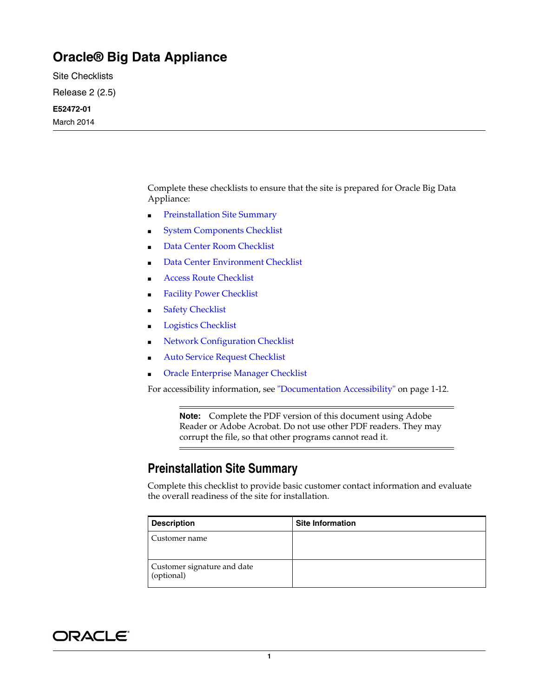## **Oracle® Big Data Appliance**

Site Checklists

Release 2 (2.5)

#### **E52472-01**

March 2014

Complete these checklists to ensure that the site is prepared for Oracle Big Data Appliance:

- [Preinstallation Site Summary](#page-0-0)
- **[System Components Checklist](#page-1-0)**
- [Data Center Room Checklist](#page-3-0)
- [Data Center Environment Checklist](#page-4-0)
- **[Access Route Checklist](#page-4-1)**
- **[Facility Power Checklist](#page-6-0)**
- **[Safety Checklist](#page-7-0)**
- [Logistics Checklist](#page-7-1)
- **[Network Configuration Checklist](#page-9-0)**
- **[Auto Service Request Checklist](#page-10-0)**
- [Oracle Enterprise Manager Checklist](#page-10-1)

For accessibility information, see ["Documentation Accessibility" on page](#page-11-0) 1-12.

**Note:** Complete the PDF version of this document using Adobe Reader or Adobe Acrobat. Do not use other PDF readers. They may corrupt the file, so that other programs cannot read it.

#### <span id="page-0-0"></span>**Preinstallation Site Summary**

Complete this checklist to provide basic customer contact information and evaluate the overall readiness of the site for installation.

| <b>Description</b>                        | <b>Site Information</b> |
|-------------------------------------------|-------------------------|
| Customer name                             |                         |
| Customer signature and date<br>(optional) |                         |

# ORACLE®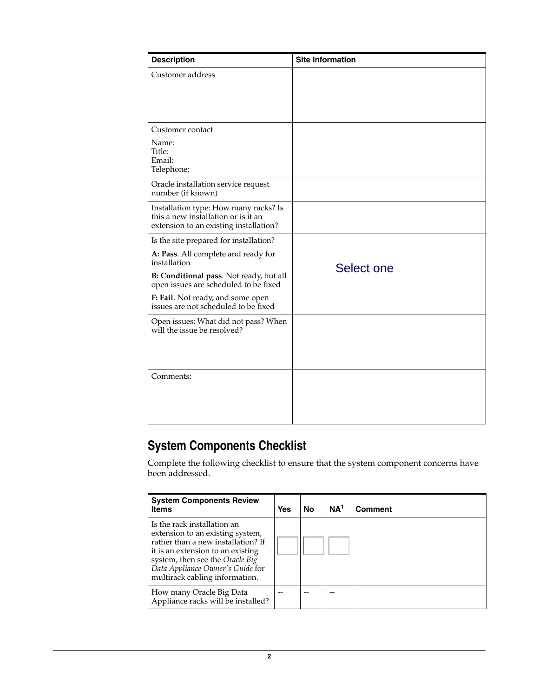| <b>Description</b>                                                                                                     | <b>Site Information</b> |
|------------------------------------------------------------------------------------------------------------------------|-------------------------|
| Customer address                                                                                                       |                         |
| Customer contact                                                                                                       |                         |
| Name:<br>Title:<br>Email:<br>Telephone:                                                                                |                         |
| Oracle installation service request<br>number (if known)                                                               |                         |
| Installation type: How many racks? Is<br>this a new installation or is it an<br>extension to an existing installation? |                         |
| Is the site prepared for installation?                                                                                 |                         |
| A: Pass. All complete and ready for<br>installation                                                                    | Select one              |
| B: Conditional pass. Not ready, but all<br>open issues are scheduled to be fixed                                       |                         |
| F: Fail. Not ready, and some open<br>issues are not scheduled to be fixed                                              |                         |
| Open issues: What did not pass? When<br>will the issue be resolved?                                                    |                         |
| Comments:                                                                                                              |                         |

# <span id="page-1-0"></span>**System Components Checklist**

Complete the following checklist to ensure that the system component concerns have been addressed.

| <b>System Components Review</b><br><b>Items</b>                                                                                                                                                                                                     | Yes | No | NA <sup>1</sup> | Comment |
|-----------------------------------------------------------------------------------------------------------------------------------------------------------------------------------------------------------------------------------------------------|-----|----|-----------------|---------|
| Is the rack installation an<br>extension to an existing system,<br>rather than a new installation? If<br>it is an extension to an existing<br>system, then see the Oracle Big<br>Data Appliance Owner's Guide for<br>multirack cabling information. |     |    |                 |         |
| How many Oracle Big Data<br>Appliance racks will be installed?                                                                                                                                                                                      |     |    |                 |         |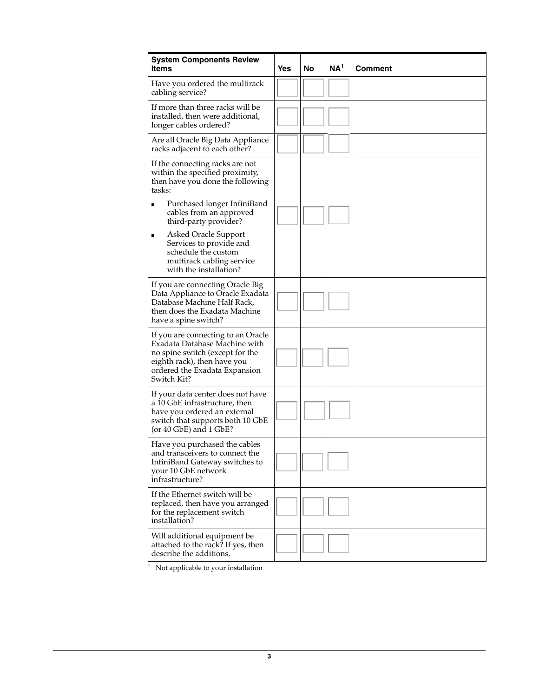| <b>System Components Review</b><br><b>Items</b>                                                                                                                                       | Yes | No | NA <sup>1</sup> | <b>Comment</b> |
|---------------------------------------------------------------------------------------------------------------------------------------------------------------------------------------|-----|----|-----------------|----------------|
| Have you ordered the multirack<br>cabling service?                                                                                                                                    |     |    |                 |                |
| If more than three racks will be<br>installed, then were additional,<br>longer cables ordered?                                                                                        |     |    |                 |                |
| Are all Oracle Big Data Appliance<br>racks adjacent to each other?                                                                                                                    |     |    |                 |                |
| If the connecting racks are not<br>within the specified proximity,<br>then have you done the following<br>tasks:                                                                      |     |    |                 |                |
| Purchased longer InfiniBand<br>п<br>cables from an approved<br>third-party provider?                                                                                                  |     |    |                 |                |
| Asked Oracle Support<br>٠<br>Services to provide and<br>schedule the custom<br>multirack cabling service<br>with the installation?                                                    |     |    |                 |                |
| If you are connecting Oracle Big<br>Data Appliance to Oracle Exadata<br>Database Machine Half Rack,<br>then does the Exadata Machine<br>have a spine switch?                          |     |    |                 |                |
| If you are connecting to an Oracle<br>Exadata Database Machine with<br>no spine switch (except for the<br>eighth rack), then have you<br>ordered the Exadata Expansion<br>Switch Kit? |     |    |                 |                |
| If your data center does not have<br>a 10 GbE infrastructure, then<br>have you ordered an external<br>switch that supports both 10 GbE<br>(or $40$ GbE) and $1$ GbE?                  |     |    |                 |                |
| Have you purchased the cables<br>and transceivers to connect the<br>InfiniBand Gateway switches to<br>your 10 GbE network<br>infrastructure?                                          |     |    |                 |                |
| If the Ethernet switch will be<br>replaced, then have you arranged<br>for the replacement switch<br>installation?                                                                     |     |    |                 |                |
| Will additional equipment be<br>attached to the rack? If yes, then<br>describe the additions.                                                                                         |     |    |                 |                |

<sup>1</sup> Not applicable to your installation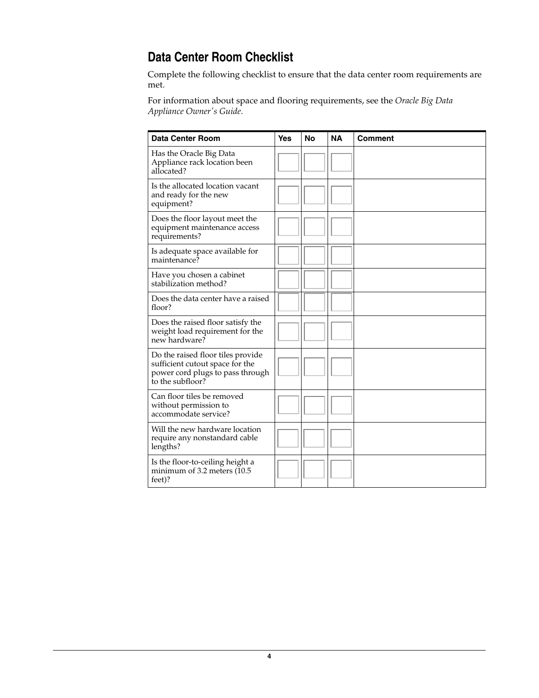# <span id="page-3-0"></span>**Data Center Room Checklist**

Complete the following checklist to ensure that the data center room requirements are met.

For information about space and flooring requirements, see the *Oracle Big Data Appliance Owner's Guide*.

| <b>Data Center Room</b>                                                                                                      | <b>Yes</b> | <b>No</b> | <b>NA</b> | <b>Comment</b> |
|------------------------------------------------------------------------------------------------------------------------------|------------|-----------|-----------|----------------|
| Has the Oracle Big Data<br>Appliance rack location been<br>allocated?                                                        |            |           |           |                |
| Is the allocated location vacant<br>and ready for the new<br>equipment?                                                      |            |           |           |                |
| Does the floor layout meet the<br>equipment maintenance access<br>requirements?                                              |            |           |           |                |
| Is adequate space available for<br>maintenance?                                                                              |            |           |           |                |
| Have you chosen a cabinet<br>stabilization method?                                                                           |            |           |           |                |
| Does the data center have a raised<br>floor?                                                                                 |            |           |           |                |
| Does the raised floor satisfy the<br>weight load requirement for the<br>new hardware?                                        |            |           |           |                |
| Do the raised floor tiles provide<br>sufficient cutout space for the<br>power cord plugs to pass through<br>to the subfloor? |            |           |           |                |
| Can floor tiles be removed<br>without permission to<br>accommodate service?                                                  |            |           |           |                |
| Will the new hardware location<br>require any nonstandard cable<br>lengths?                                                  |            |           |           |                |
| Is the floor-to-ceiling height a<br>minimum of 3.2 meters (10.5)<br>feet)?                                                   |            |           |           |                |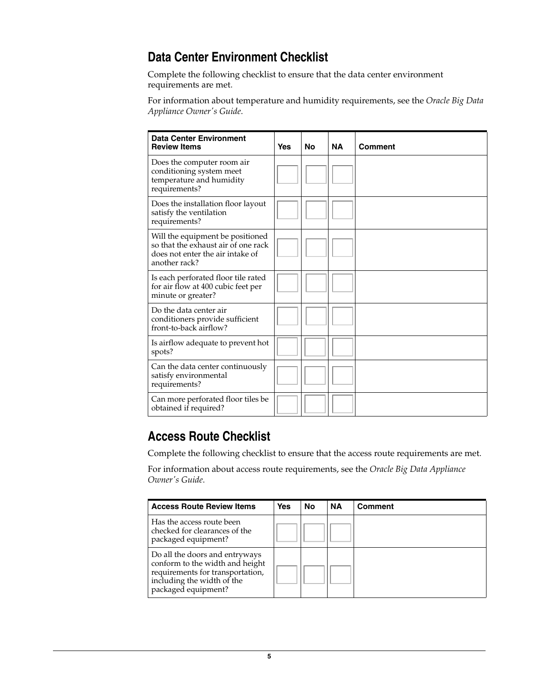## <span id="page-4-0"></span>**Data Center Environment Checklist**

Complete the following checklist to ensure that the data center environment requirements are met.

For information about temperature and humidity requirements, see the *Oracle Big Data Appliance Owner's Guide*.

| <b>Data Center Environment</b><br><b>Review Items</b>                                                                        | Yes | No | <b>NA</b> | <b>Comment</b> |
|------------------------------------------------------------------------------------------------------------------------------|-----|----|-----------|----------------|
| Does the computer room air<br>conditioning system meet<br>temperature and humidity<br>requirements?                          |     |    |           |                |
| Does the installation floor layout<br>satisfy the ventilation<br>requirements?                                               |     |    |           |                |
| Will the equipment be positioned<br>so that the exhaust air of one rack<br>does not enter the air intake of<br>another rack? |     |    |           |                |
| Is each perforated floor tile rated<br>for air flow at 400 cubic feet per<br>minute or greater?                              |     |    |           |                |
| Do the data center air<br>conditioners provide sufficient<br>front-to-back airflow?                                          |     |    |           |                |
| Is airflow adequate to prevent hot<br>spots?                                                                                 |     |    |           |                |
| Can the data center continuously<br>satisfy environmental<br>requirements?                                                   |     |    |           |                |
| Can more perforated floor tiles be<br>obtained if required?                                                                  |     |    |           |                |

#### <span id="page-4-1"></span>**Access Route Checklist**

Complete the following checklist to ensure that the access route requirements are met.

For information about access route requirements, see the *Oracle Big Data Appliance Owner's Guide*.

| <b>Access Route Review Items</b>                                                                                                                           | Yes | No | <b>NA</b> | <b>Comment</b> |
|------------------------------------------------------------------------------------------------------------------------------------------------------------|-----|----|-----------|----------------|
| Has the access route been<br>checked for clearances of the<br>packaged equipment?                                                                          |     |    |           |                |
| Do all the doors and entryways<br>conform to the width and height<br>requirements for transportation,<br>including the width of the<br>packaged equipment? |     |    |           |                |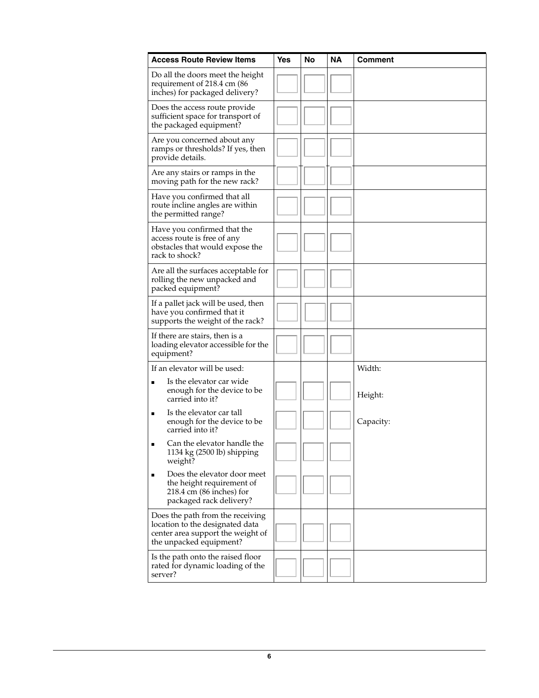| <b>Access Route Review Items</b>                                                                                                    | Yes | No | <b>NA</b> | Comment   |
|-------------------------------------------------------------------------------------------------------------------------------------|-----|----|-----------|-----------|
| Do all the doors meet the height<br>requirement of 218.4 cm (86<br>inches) for packaged delivery?                                   |     |    |           |           |
| Does the access route provide<br>sufficient space for transport of<br>the packaged equipment?                                       |     |    |           |           |
| Are you concerned about any<br>ramps or thresholds? If yes, then<br>provide details.                                                |     |    |           |           |
| Are any stairs or ramps in the<br>moving path for the new rack?                                                                     |     |    |           |           |
| Have you confirmed that all<br>route incline angles are within<br>the permitted range?                                              |     |    |           |           |
| Have you confirmed that the<br>access route is free of any<br>obstacles that would expose the<br>rack to shock?                     |     |    |           |           |
| Are all the surfaces acceptable for<br>rolling the new unpacked and<br>packed equipment?                                            |     |    |           |           |
| If a pallet jack will be used, then<br>have you confirmed that it<br>supports the weight of the rack?                               |     |    |           |           |
| If there are stairs, then is a<br>loading elevator accessible for the<br>equipment?                                                 |     |    |           |           |
| If an elevator will be used:                                                                                                        |     |    |           | Width:    |
| Is the elevator car wide<br>$\blacksquare$<br>enough for the device to be<br>carried into it?                                       |     |    |           | Height:   |
| Is the elevator car tall<br>■<br>enough for the device to be<br>carried into it?                                                    |     |    |           | Capacity: |
| Can the elevator handle the<br>1134 kg (2500 lb) shipping<br>weight?                                                                |     |    |           |           |
| Does the elevator door meet<br>the height requirement of<br>$218.4$ cm $(86$ inches) for<br>packaged rack delivery?                 |     |    |           |           |
| Does the path from the receiving<br>location to the designated data<br>center area support the weight of<br>the unpacked equipment? |     |    |           |           |
| Is the path onto the raised floor<br>rated for dynamic loading of the<br>server?                                                    |     |    |           |           |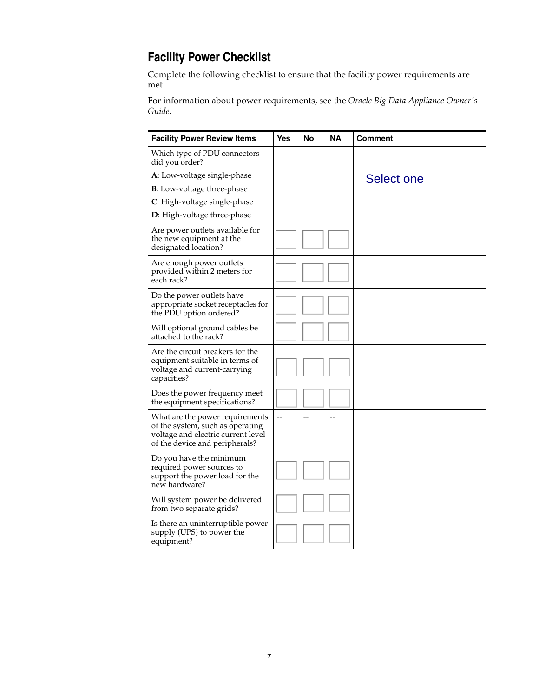# <span id="page-6-0"></span>**Facility Power Checklist**

Complete the following checklist to ensure that the facility power requirements are met.

For information about power requirements, see the *Oracle Big Data Appliance Owner's Guide*.

| <b>Facility Power Review Items</b>                                                                                                          | Yes                      | No | NA | Comment    |
|---------------------------------------------------------------------------------------------------------------------------------------------|--------------------------|----|----|------------|
| Which type of PDU connectors<br>did you order?                                                                                              |                          |    |    |            |
| A: Low-voltage single-phase                                                                                                                 |                          |    |    | Select one |
| <b>B</b> : Low-voltage three-phase                                                                                                          |                          |    |    |            |
| C: High-voltage single-phase                                                                                                                |                          |    |    |            |
| D: High-voltage three-phase                                                                                                                 |                          |    |    |            |
| Are power outlets available for<br>the new equipment at the<br>designated location?                                                         |                          |    |    |            |
| Are enough power outlets<br>provided within 2 meters for<br>each rack?                                                                      |                          |    |    |            |
| Do the power outlets have<br>appropriate socket receptacles for<br>the PDU option ordered?                                                  |                          |    |    |            |
| Will optional ground cables be<br>attached to the rack?                                                                                     |                          |    |    |            |
| Are the circuit breakers for the<br>equipment suitable in terms of<br>voltage and current-carrying<br>capacities?                           |                          |    |    |            |
| Does the power frequency meet<br>the equipment specifications?                                                                              |                          |    |    |            |
| What are the power requirements<br>of the system, such as operating<br>voltage and electric current level<br>of the device and peripherals? | $\overline{\phantom{a}}$ |    |    |            |
| Do you have the minimum<br>required power sources to<br>support the power load for the<br>new hardware?                                     |                          |    |    |            |
| Will system power be delivered<br>from two separate grids?                                                                                  |                          |    |    |            |
| Is there an uninterruptible power<br>supply (UPS) to power the<br>equipment?                                                                |                          |    |    |            |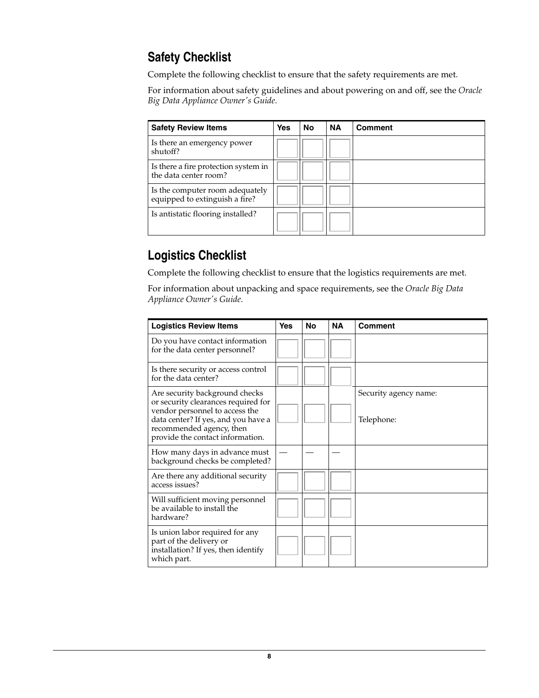## <span id="page-7-0"></span>**Safety Checklist**

Complete the following checklist to ensure that the safety requirements are met.

For information about safety guidelines and about powering on and off, see the *Oracle Big Data Appliance Owner's Guide*.

| <b>Safety Review Items</b>                                        | <b>Yes</b> | <b>No</b> | <b>NA</b> | <b>Comment</b> |
|-------------------------------------------------------------------|------------|-----------|-----------|----------------|
| Is there an emergency power<br>shutoff?                           |            |           |           |                |
| Is there a fire protection system in<br>the data center room?     |            |           |           |                |
| Is the computer room adequately<br>equipped to extinguish a fire? |            |           |           |                |
| Is antistatic flooring installed?                                 |            |           |           |                |

## <span id="page-7-1"></span>**Logistics Checklist**

Complete the following checklist to ensure that the logistics requirements are met.

For information about unpacking and space requirements, see the *Oracle Big Data Appliance Owner's Guide*.

| <b>Logistics Review Items</b>                                                                                                                                                                                  | <b>Yes</b> | No | <b>NA</b> | <b>Comment</b>                      |
|----------------------------------------------------------------------------------------------------------------------------------------------------------------------------------------------------------------|------------|----|-----------|-------------------------------------|
| Do you have contact information<br>for the data center personnel?                                                                                                                                              |            |    |           |                                     |
| Is there security or access control<br>for the data center?                                                                                                                                                    |            |    |           |                                     |
| Are security background checks<br>or security clearances required for<br>vendor personnel to access the<br>data center? If yes, and you have a<br>recommended agency, then<br>provide the contact information. |            |    |           | Security agency name:<br>Telephone: |
| How many days in advance must<br>background checks be completed?                                                                                                                                               |            |    |           |                                     |
| Are there any additional security<br>access issues?                                                                                                                                                            |            |    |           |                                     |
| Will sufficient moving personnel<br>be available to install the<br>hardware?                                                                                                                                   |            |    |           |                                     |
| Is union labor required for any<br>part of the delivery or<br>installation? If yes, then identify<br>which part.                                                                                               |            |    |           |                                     |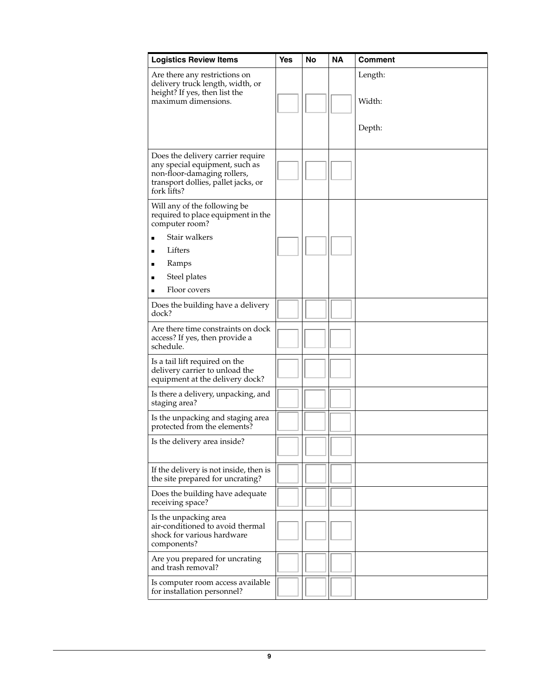| <b>Logistics Review Items</b>                                                                                                                            | Yes | <b>No</b> | <b>NA</b> | <b>Comment</b> |
|----------------------------------------------------------------------------------------------------------------------------------------------------------|-----|-----------|-----------|----------------|
| Are there any restrictions on<br>delivery truck length, width, or<br>height? If yes, then list the                                                       |     |           |           | Length:        |
| maximum dimensions.                                                                                                                                      |     |           |           | Width:         |
|                                                                                                                                                          |     |           |           | Depth:         |
| Does the delivery carrier require<br>any special equipment, such as<br>non-floor-damaging rollers,<br>transport dollies, pallet jacks, or<br>fork lifts? |     |           |           |                |
| Will any of the following be<br>required to place equipment in the<br>computer room?                                                                     |     |           |           |                |
| Stair walkers                                                                                                                                            |     |           |           |                |
| Lifters<br>п                                                                                                                                             |     |           |           |                |
| Ramps<br>п                                                                                                                                               |     |           |           |                |
| Steel plates<br>п                                                                                                                                        |     |           |           |                |
| Floor covers                                                                                                                                             |     |           |           |                |
| Does the building have a delivery<br>dock?                                                                                                               |     |           |           |                |
| Are there time constraints on dock<br>access? If yes, then provide a<br>schedule.                                                                        |     |           |           |                |
| Is a tail lift required on the<br>delivery carrier to unload the<br>equipment at the delivery dock?                                                      |     |           |           |                |
| Is there a delivery, unpacking, and<br>staging area?                                                                                                     |     |           |           |                |
| Is the unpacking and staging area<br>protected from the elements?                                                                                        |     |           |           |                |
| Is the delivery area inside?                                                                                                                             |     |           |           |                |
| If the delivery is not inside, then is<br>the site prepared for uncrating?                                                                               |     |           |           |                |
| Does the building have adequate<br>receiving space?                                                                                                      |     |           |           |                |
| Is the unpacking area<br>air-conditioned to avoid thermal<br>shock for various hardware<br>components?                                                   |     |           |           |                |
| Are you prepared for uncrating<br>and trash removal?                                                                                                     |     |           |           |                |
| Is computer room access available<br>for installation personnel?                                                                                         |     |           |           |                |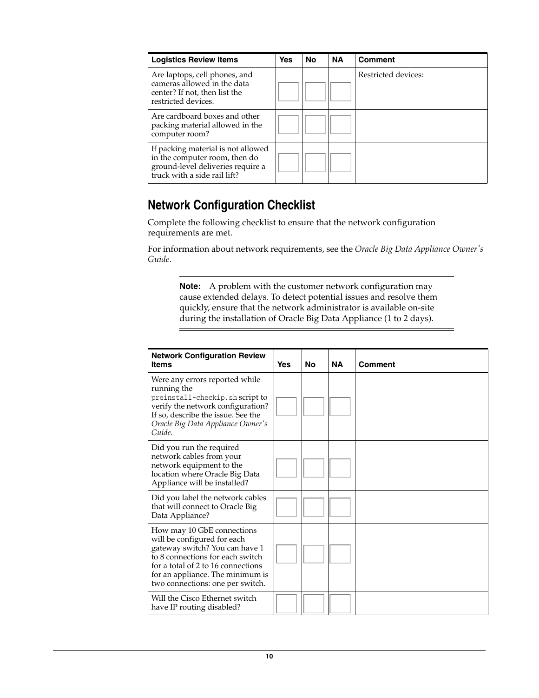| <b>Logistics Review Items</b>                                                                                                            | <b>Yes</b> | <b>No</b> | <b>NA</b> | <b>Comment</b>      |
|------------------------------------------------------------------------------------------------------------------------------------------|------------|-----------|-----------|---------------------|
| Are laptops, cell phones, and<br>cameras allowed in the data<br>center? If not, then list the<br>restricted devices.                     |            |           |           | Restricted devices: |
| Are cardboard boxes and other<br>packing material allowed in the<br>computer room?                                                       |            |           |           |                     |
| If packing material is not allowed<br>in the computer room, then do<br>ground-level deliveries require a<br>truck with a side rail lift? |            |           |           |                     |

## <span id="page-9-0"></span>**Network Configuration Checklist**

Complete the following checklist to ensure that the network configuration requirements are met.

For information about network requirements, see the *Oracle Big Data Appliance Owner's Guide*.

**Note:** A problem with the customer network configuration may cause extended delays. To detect potential issues and resolve them quickly, ensure that the network administrator is available on-site during the installation of Oracle Big Data Appliance (1 to 2 days).

| <b>Network Configuration Review</b><br><b>Items</b>                                                                                                                                                                                           | <b>Yes</b> | <b>No</b> | <b>NA</b> | Comment |
|-----------------------------------------------------------------------------------------------------------------------------------------------------------------------------------------------------------------------------------------------|------------|-----------|-----------|---------|
| Were any errors reported while<br>running the<br>preinstall-checkip.sh script to<br>verify the network configuration?<br>If so, describe the issue. See the<br>Oracle Big Data Appliance Owner's<br>Guide.                                    |            |           |           |         |
| Did you run the required<br>network cables from your<br>network equipment to the<br>location where Oracle Big Data<br>Appliance will be installed?                                                                                            |            |           |           |         |
| Did you label the network cables<br>that will connect to Oracle Big<br>Data Appliance?                                                                                                                                                        |            |           |           |         |
| How may 10 GbE connections<br>will be configured for each<br>gateway switch? You can have 1<br>to 8 connections for each switch<br>for a total of 2 to 16 connections<br>for an appliance. The minimum is<br>two connections: one per switch. |            |           |           |         |
| Will the Cisco Ethernet switch<br>have IP routing disabled?                                                                                                                                                                                   |            |           |           |         |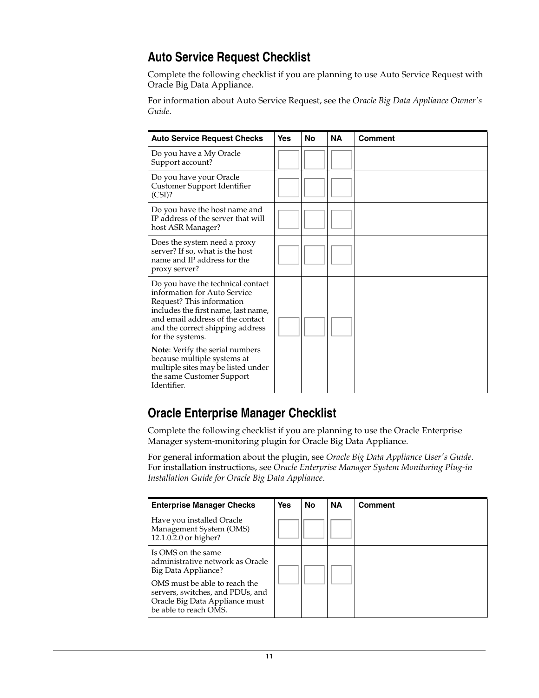## <span id="page-10-0"></span>**Auto Service Request Checklist**

Complete the following checklist if you are planning to use Auto Service Request with Oracle Big Data Appliance.

For information about Auto Service Request, see the *Oracle Big Data Appliance Owner's Guide*.

| <b>Auto Service Request Checks</b>                                                                                                                                                                                                | <b>Yes</b> | No | <b>NA</b> | <b>Comment</b> |
|-----------------------------------------------------------------------------------------------------------------------------------------------------------------------------------------------------------------------------------|------------|----|-----------|----------------|
| Do you have a My Oracle<br>Support account?                                                                                                                                                                                       |            |    |           |                |
| Do you have your Oracle<br>Customer Support Identifier<br>(CSI)?                                                                                                                                                                  |            |    |           |                |
| Do you have the host name and<br>IP address of the server that will<br>host ASR Manager?                                                                                                                                          |            |    |           |                |
| Does the system need a proxy<br>server? If so, what is the host<br>name and IP address for the<br>proxy server?                                                                                                                   |            |    |           |                |
| Do you have the technical contact<br>information for Auto Service<br>Request? This information<br>includes the first name, last name,<br>and email address of the contact<br>and the correct shipping address<br>for the systems. |            |    |           |                |
| Note: Verify the serial numbers<br>because multiple systems at<br>multiple sites may be listed under<br>the same Customer Support<br>Identifier.                                                                                  |            |    |           |                |

## <span id="page-10-1"></span>**Oracle Enterprise Manager Checklist**

Complete the following checklist if you are planning to use the Oracle Enterprise Manager system-monitoring plugin for Oracle Big Data Appliance.

For general information about the plugin, see *Oracle Big Data Appliance User's Guide*. For installation instructions, see *Oracle Enterprise Manager System Monitoring Plug-in Installation Guide for Oracle Big Data Appliance*.

| <b>Enterprise Manager Checks</b>                                                                                                                                                                              | <b>Yes</b> | No | <b>NA</b> | <b>Comment</b> |
|---------------------------------------------------------------------------------------------------------------------------------------------------------------------------------------------------------------|------------|----|-----------|----------------|
| Have you installed Oracle<br>Management System (OMS)<br>12.1.0.2.0 or higher?                                                                                                                                 |            |    |           |                |
| Is OMS on the same<br>administrative network as Oracle<br>Big Data Appliance?<br>OMS must be able to reach the<br>servers, switches, and PDUs, and<br>Oracle Big Data Appliance must<br>be able to reach OMS. |            |    |           |                |